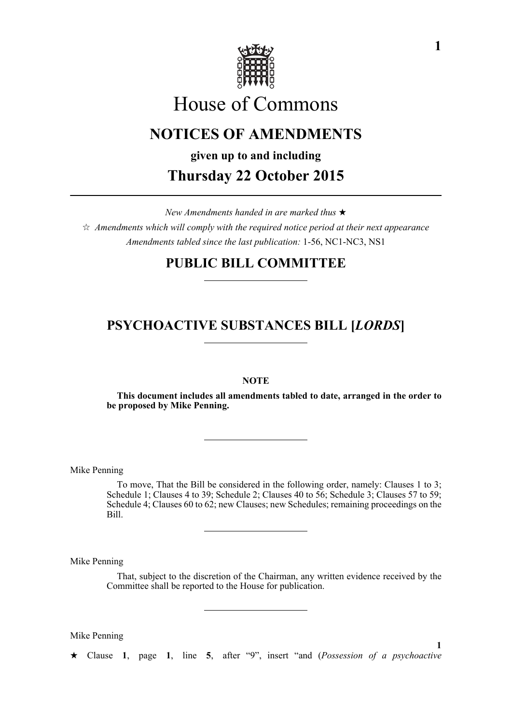

# House of Commons

# **NOTICES OF AMENDMENTS**

**given up to and including**

**Thursday 22 October 2015**

*New Amendments handed in are marked thus* 

 $\hat{\mathcal{A}}$  Amendments which will comply with the required notice period at their next appearance *Amendments tabled since the last publication:* 1-56, NC1-NC3, NS1

# **PUBLIC BILL COMMITTEE**

# **PSYCHOACTIVE SUBSTANCES BILL [***LORDS***]**

# **NOTE**

**This document includes all amendments tabled to date, arranged in the order to be proposed by Mike Penning.**

Mike Penning

To move, That the Bill be considered in the following order, namely: Clauses 1 to 3; Schedule 1; Clauses 4 to 39; Schedule 2; Clauses 40 to 56; Schedule 3; Clauses 57 to 59; Schedule 4; Clauses 60 to 62; new Clauses; new Schedules; remaining proceedings on the Bill.

Mike Penning

That, subject to the discretion of the Chairman, any written evidence received by the Committee shall be reported to the House for publication.

Mike Penning

Clause **1**, page **1**, line **5**, after "9", insert "and (*Possession of a psychoactive*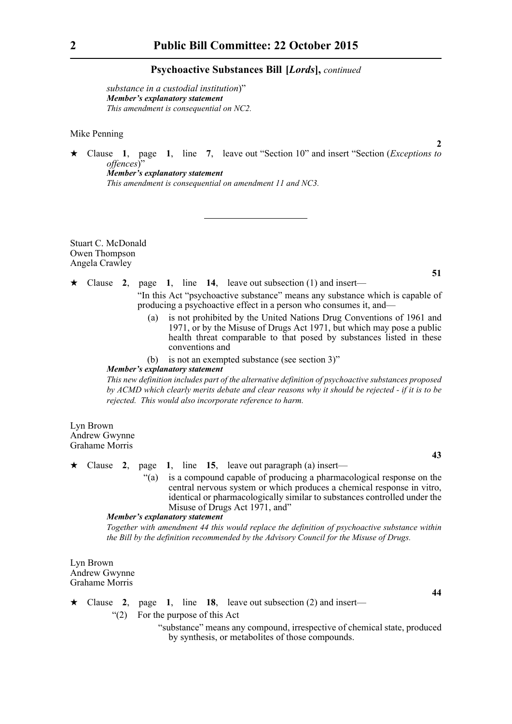*substance in a custodial institution*)" *Member's explanatory statement This amendment is consequential on NC2.*

Mike Penning

 Clause **1**, page **1**, line **7**, leave out "Section 10" and insert "Section (*Exceptions to offences*)" *Member's explanatory statement* 

*This amendment is consequential on amendment 11 and NC3.*

Stuart C. McDonald Owen Thompson Angela Crawley

**51**

**43**

**44**

**2**

- Clause **2**, page **1**, line **14**, leave out subsection (1) and insert— "In this Act "psychoactive substance" means any substance which is capable of producing a psychoactive effect in a person who consumes it, and
	- is not prohibited by the United Nations Drug Conventions of 1961 and 1971, or by the Misuse of Drugs Act 1971, but which may pose a public health threat comparable to that posed by substances listed in these conventions and
	- (b) is not an exempted substance (see section 3)"

#### *Member's explanatory statement*

*This new definition includes part of the alternative definition of psychoactive substances proposed by ACMD which clearly merits debate and clear reasons why it should be rejected - if it is to be rejected. This would also incorporate reference to harm.* 

Lyn Brown Andrew Gwynne Grahame Morris

- Clause **2**, page **1**, line **15**, leave out paragraph (a) insert—
	- "(a) is a compound capable of producing a pharmacological response on the central nervous system or which produces a chemical response in vitro, identical or pharmacologically similar to substances controlled under the Misuse of Drugs Act 1971, and"

#### *Member's explanatory statement*

*Together with amendment 44 this would replace the definition of psychoactive substance within the Bill by the definition recommended by the Advisory Council for the Misuse of Drugs.*

Lyn Brown Andrew Gwynne Grahame Morris

 $\star$  Clause 2, page 1, line 18, leave out subsection (2) and insert—

"(2) For the purpose of this Act

"substance" means any compound, irrespective of chemical state, produced by synthesis, or metabolites of those compounds.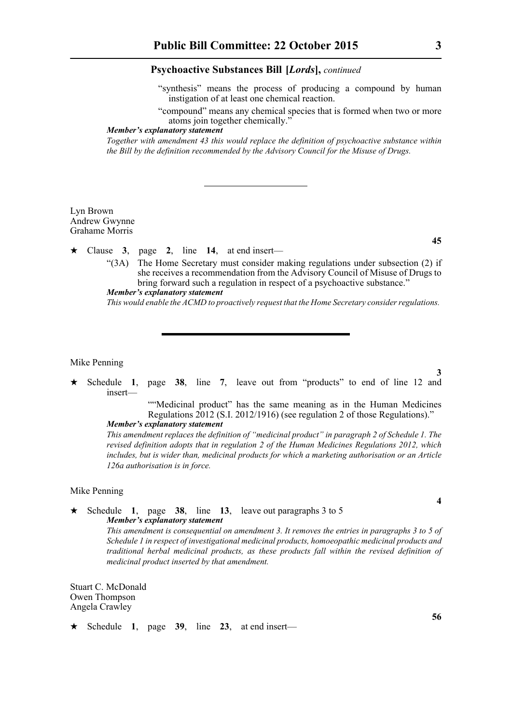"synthesis" means the process of producing a compound by human instigation of at least one chemical reaction.

"compound" means any chemical species that is formed when two or more atoms join together chemically."

#### *Member's explanatory statement*

*Together with amendment 43 this would replace the definition of psychoactive substance within the Bill by the definition recommended by the Advisory Council for the Misuse of Drugs.*

Lyn Brown Andrew Gwynne Grahame Morris

 $\star$  Clause 3, page 2, line 14, at end insert—

"(3A) The Home Secretary must consider making regulations under subsection (2) if she receives a recommendation from the Advisory Council of Misuse of Drugs to bring forward such a regulation in respect of a psychoactive substance." *Member's explanatory statement* 

*This would enable the ACMD to proactively request that the Home Secretary consider regulations.* 

# Mike Penning

 Schedule **1**, page **38**, line **7**, leave out from "products" to end of line 12 and insert—

""Medicinal product" has the same meaning as in the Human Medicines Regulations 2012 (S.I. 2012/1916) (see regulation 2 of those Regulations)." *Member's explanatory statement* 

*This amendment replaces the definition of "medicinal product" in paragraph 2 of Schedule 1. The revised definition adopts that in regulation 2 of the Human Medicines Regulations 2012, which includes, but is wider than, medicinal products for which a marketing authorisation or an Article 126a authorisation is in force.*

#### Mike Penning

 Schedule **1**, page **38**, line **13**, leave out paragraphs 3 to 5 *Member's explanatory statement* 

> *This amendment is consequential on amendment 3. It removes the entries in paragraphs 3 to 5 of Schedule 1 in respect of investigational medicinal products, homoeopathic medicinal products and traditional herbal medicinal products, as these products fall within the revised definition of medicinal product inserted by that amendment.*

Stuart C. McDonald Owen Thompson Angela Crawley

 $\star$  Schedule 1, page 39, line 23, at end insert—

**56**

**4**

**3**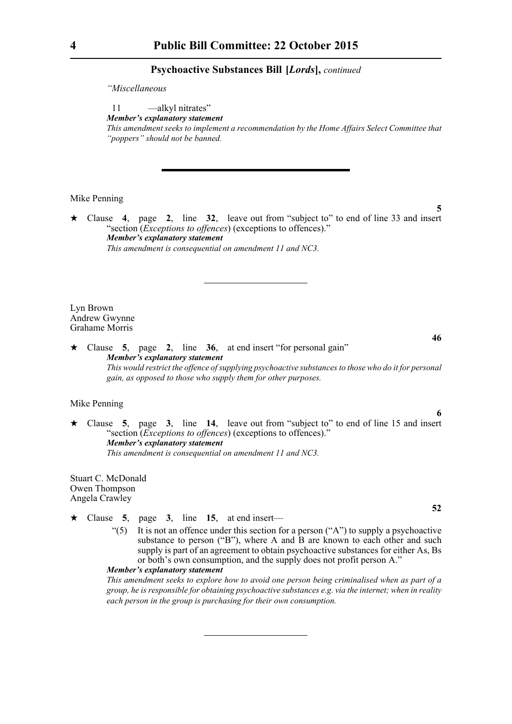*"Miscellaneous*

11 —alkyl nitrates" *Member's explanatory statement This amendment seeks to implement a recommendation by the Home Affairs Select Committee that "poppers" should not be banned.*

#### Mike Penning

 Clause **4**, page **2**, line **32**, leave out from "subject to" to end of line 33 and insert "section (*Exceptions to offences*) (exceptions to offences)." *Member's explanatory statement This amendment is consequential on amendment 11 and NC3.*

Lyn Brown Andrew Gwynne Grahame Morris

 Clause **5**, page **2**, line **36**, at end insert "for personal gain" *Member's explanatory statement This would restrict the offence of supplying psychoactive substances to those who do it for personal gain, as opposed to those who supply them for other purposes.*

# Mike Penning

 Clause **5**, page **3**, line **14**, leave out from "subject to" to end of line 15 and insert "section (*Exceptions to offences*) (exceptions to offences)." *Member's explanatory statement This amendment is consequential on amendment 11 and NC3.*

Stuart C. McDonald Owen Thompson Angela Crawley

- $\star$  Clause 5, page 3, line 15, at end insert—
	- "(5) It is not an offence under this section for a person ("A") to supply a psychoactive substance to person ("B"), where A and  $\hat{B}$  are known to each other and such supply is part of an agreement to obtain psychoactive substances for either As, Bs or both's own consumption, and the supply does not profit person A."

*Member's explanatory statement* 

*This amendment seeks to explore how to avoid one person being criminalised when as part of a group, he is responsible for obtaining psychoactive substances e.g. via the internet; when in reality each person in the group is purchasing for their own consumption.*

**5**

**46**

**6**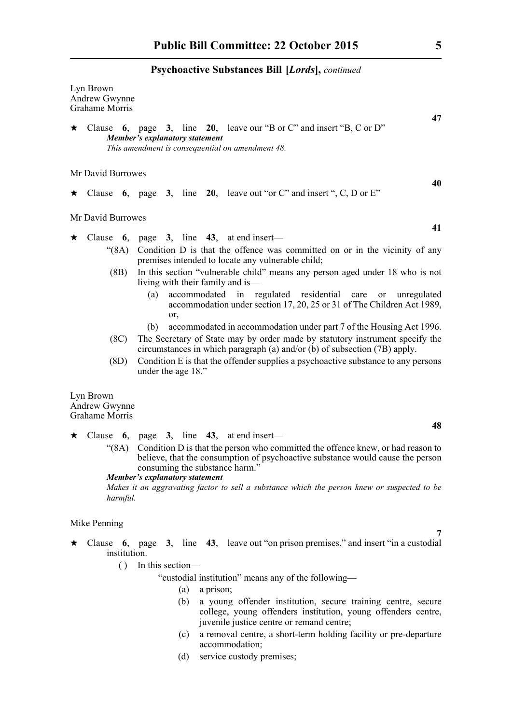| Lyn Brown<br>Andrew Gwynne<br>Grahame Morris                                                                                                                       |    |
|--------------------------------------------------------------------------------------------------------------------------------------------------------------------|----|
| $\star$ Clause 6, page 3, line 20, leave our "B or C" and insert "B, C or D"<br>Member's explanatory statement<br>This amendment is consequential on amendment 48. | 47 |
| Mr David Burrowes                                                                                                                                                  | 40 |

 $\star$  Clause **6**, page **3**, line **20**, leave out "or C" and insert ", C, D or E"

Mr David Burrowes

 $\star$  Clause 6, page 3, line 43, at end insert—

- "(8A) Condition D is that the offence was committed on or in the vicinity of any premises intended to locate any vulnerable child;
- (8B) In this section "vulnerable child" means any person aged under 18 who is not living with their family and is—
	- (a) accommodated in regulated residential care or unregulated accommodation under section 17, 20, 25 or 31 of The Children Act 1989, or,
	- (b) accommodated in accommodation under part 7 of the Housing Act 1996.
- (8C) The Secretary of State may by order made by statutory instrument specify the circumstances in which paragraph (a) and/or (b) of subsection (7B) apply.
- (8D) Condition E is that the offender supplies a psychoactive substance to any persons under the age 18."

Lyn Brown Andrew Gwynne Grahame Morris

 $\star$  Clause 6, page 3, line 43, at end insert—

"(8A) Condition D is that the person who committed the offence knew, or had reason to believe, that the consumption of psychoactive substance would cause the person consuming the substance harm."

#### *Member's explanatory statement*

*Makes it an aggravating factor to sell a substance which the person knew or suspected to be harmful.* 

#### Mike Penning

- Clause **6**, page **3**, line **43**, leave out "on prison premises." and insert "in a custodial institution.
	- ( ) In this section—

"custodial institution" means any of the following—

- (a) a prison;
- (b) a young offender institution, secure training centre, secure college, young offenders institution, young offenders centre, juvenile justice centre or remand centre;
- (c) a removal centre, a short-term holding facility or pre-departure accommodation;
- (d) service custody premises;

**41**

**48**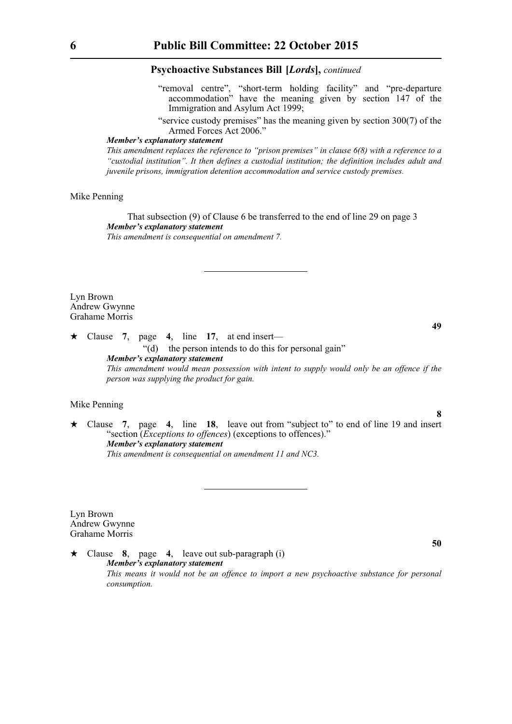- "removal centre", "short-term holding facility" and "pre-departure accommodation" have the meaning given by section 147 of the Immigration and Asylum Act 1999;
- "service custody premises" has the meaning given by section 300(7) of the Armed Forces Act 2006."

#### *Member's explanatory statement*

*This amendment replaces the reference to "prison premises" in clause 6(8) with a reference to a "custodial institution". It then defines a custodial institution; the definition includes adult and juvenile prisons, immigration detention accommodation and service custody premises.* 

## Mike Penning

That subsection (9) of Clause 6 be transferred to the end of line 29 on page 3 *Member's explanatory statement This amendment is consequential on amendment 7.*

Lyn Brown Andrew Gwynne Grahame Morris

 $\star$  Clause 7, page 4, line 17, at end insert— "(d) the person intends to do this for personal gain" *Member's explanatory statement This amendment would mean possession with intent to supply would only be an offence if the person was supplying the product for gain.*

#### Mike Penning

 Clause **7**, page **4**, line **18**, leave out from "subject to" to end of line 19 and insert "section (*Exceptions to offences*) (exceptions to offences)." *Member's explanatory statement This amendment is consequential on amendment 11 and NC3.*

Lyn Brown Andrew Gwynne Grahame Morris

 Clause **8**, page **4**, leave out sub-paragraph (i) *Member's explanatory statement This means it would not be an offence to import a new psychoactive substance for personal consumption.* 

**49**

**8**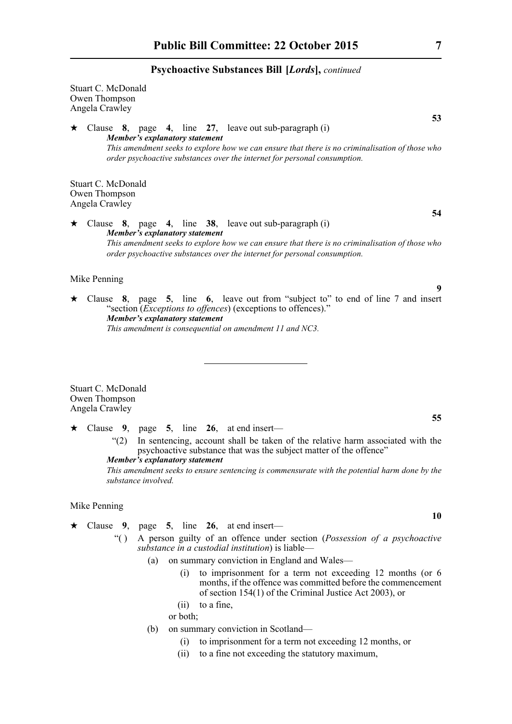Stuart C. McDonald Owen Thompson Angela Crawley Clause **8**, page **4**, line **27**, leave out sub-paragraph (i) *Member's explanatory statement This amendment seeks to explore how we can ensure that there is no criminalisation of those who order psychoactive substances over the internet for personal consumption.* 

Stuart C. McDonald Owen Thompson Angela Crawley

 Clause **8**, page **4**, line **38**, leave out sub-paragraph (i) *Member's explanatory statement This amendment seeks to explore how we can ensure that there is no criminalisation of those who order psychoactive substances over the internet for personal consumption.* 

# Mike Penning

 Clause **8**, page **5**, line **6**, leave out from "subject to" to end of line 7 and insert "section (*Exceptions to offences*) (exceptions to offences)." *Member's explanatory statement This amendment is consequential on amendment 11 and NC3.*

Stuart C. McDonald Owen Thompson Angela Crawley

- Clause **9**, page **5**, line **26**, at end insert—
	- "(2) In sentencing, account shall be taken of the relative harm associated with the psychoactive substance that was the subject matter of the offence" *Member's explanatory statement*

*This amendment seeks to ensure sentencing is commensurate with the potential harm done by the substance involved.*

#### Mike Penning

- $\star$  Clause 9, page 5, line 26, at end insert—
	- "( ) A person guilty of an offence under section (*Possession of a psychoactive substance in a custodial institution*) is liable—
		- (a) on summary conviction in England and Wales—
			- (i) to imprisonment for a term not exceeding 12 months (or 6 months, if the offence was committed before the commencement of section 154(1) of the Criminal Justice Act 2003), or
			- (ii) to a fine,
			- or both;
		- (b) on summary conviction in Scotland—
			- (i) to imprisonment for a term not exceeding 12 months, or
			- (ii) to a fine not exceeding the statutory maximum,

**53**

**54**

**9**

**55**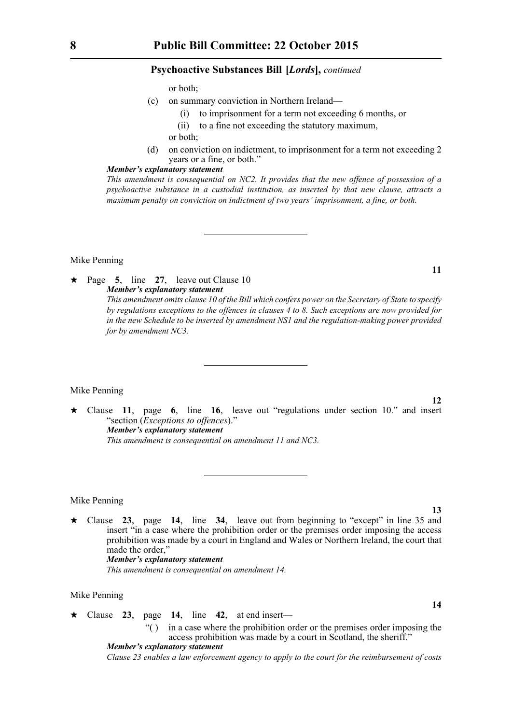or both;

- (c) on summary conviction in Northern Ireland—
	- (i) to imprisonment for a term not exceeding 6 months, or
	- (ii) to a fine not exceeding the statutory maximum,
	- or both;
- (d) on conviction on indictment, to imprisonment for a term not exceeding 2 years or a fine, or both."

#### *Member's explanatory statement*

*This amendment is consequential on NC2. It provides that the new offence of possession of a psychoactive substance in a custodial institution, as inserted by that new clause, attracts a maximum penalty on conviction on indictment of two years' imprisonment, a fine, or both.*

#### Mike Penning

 Page **5**, line **27**, leave out Clause 10 *Member's explanatory statement* 

*This amendment omits clause 10 of the Bill which confers power on the Secretary of State to specify by regulations exceptions to the offences in clauses 4 to 8. Such exceptions are now provided for in the new Schedule to be inserted by amendment NS1 and the regulation-making power provided for by amendment NC3.*

#### Mike Penning

 Clause **11**, page **6**, line **16**, leave out "regulations under section 10." and insert "section (*Exceptions to offences*)." *Member's explanatory statement This amendment is consequential on amendment 11 and NC3.*

#### Mike Penning

 Clause **23**, page **14**, line **34**, leave out from beginning to "except" in line 35 and insert "in a case where the prohibition order or the premises order imposing the access prohibition was made by a court in England and Wales or Northern Ireland, the court that made the order," *Member's explanatory statement* 

*This amendment is consequential on amendment 14.*

# Mike Penning

Clause **23**, page **14**, line **42**, at end insert—

"( ) in a case where the prohibition order or the premises order imposing the access prohibition was made by a court in Scotland, the sheriff."

*Member's explanatory statement Clause 23 enables a law enforcement agency to apply to the court for the reimbursement of costs*

**11**

**13**

**14**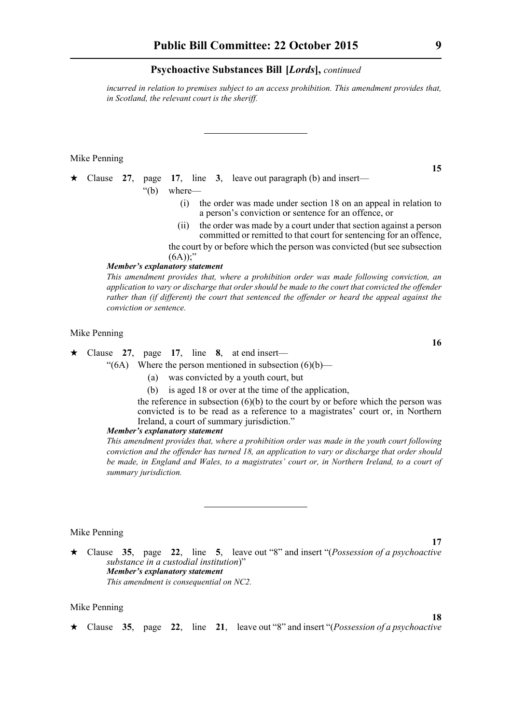*incurred in relation to premises subject to an access prohibition. This amendment provides that, in Scotland, the relevant court is the sheriff.*

#### Mike Penning

|  |  |                      |  | $\star$ Clause 27, page 17, line 3, leave out paragraph (b) and insert—                                                     |
|--|--|----------------------|--|-----------------------------------------------------------------------------------------------------------------------------|
|  |  | $\degree$ (b) where— |  |                                                                                                                             |
|  |  |                      |  | (i) the order was made under section 18 on an appeal in relation to<br>a person's conviction or sentence for an offence, or |
|  |  |                      |  |                                                                                                                             |

- (ii) the order was made by a court under that section against a person committed or remitted to that court for sentencing for an offence,
- the court by or before which the person was convicted (but see subsection  $(6A))$ ;"

## *Member's explanatory statement*

*This amendment provides that, where a prohibition order was made following conviction, an application to vary or discharge that order should be made to the court that convicted the offender rather than (if different) the court that sentenced the offender or heard the appeal against the conviction or sentence.* 

#### Mike Penning

# $\star$  Clause 27, page 17, line 8, at end insert—

" $(6A)$  Where the person mentioned in subsection  $(6)(b)$ —

- (a) was convicted by a youth court, but
- (b) is aged 18 or over at the time of the application,

the reference in subsection  $(6)(b)$  to the court by or before which the person was convicted is to be read as a reference to a magistrates' court or, in Northern Ireland, a court of summary jurisdiction."

#### *Member's explanatory statement*

*This amendment provides that, where a prohibition order was made in the youth court following conviction and the offender has turned 18, an application to vary or discharge that order should be made, in England and Wales, to a magistrates' court or, in Northern Ireland, to a court of summary jurisdiction.*

# Mike Penning

 Clause **35**, page **22**, line **5**, leave out "8" and insert "(*Possession of a psychoactive substance in a custodial institution*)" *Member's explanatory statement This amendment is consequential on NC2.*

# Mike Penning

Clause **35**, page **22**, line **21**, leave out "8" and insert "(*Possession of a psychoactive*

**15**

**16**

**17**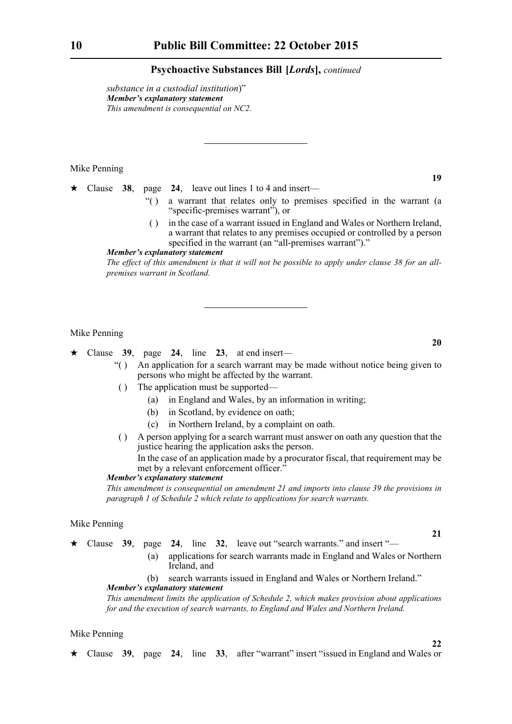*substance in a custodial institution*)" *Member's explanatory statement This amendment is consequential on NC2.*

#### Mike Penning

Clause **38**, page **24**, leave out lines 1 to 4 and insert—

- "( ) a warrant that relates only to premises specified in the warrant (a "specific-premises warrant"), or
- ( ) in the case of a warrant issued in England and Wales or Northern Ireland, a warrant that relates to any premises occupied or controlled by a person specified in the warrant (an "all-premises warrant")."

#### *Member's explanatory statement*

*The effect of this amendment is that it will not be possible to apply under clause 38 for an allpremises warrant in Scotland.*

#### Mike Penning

 $\star$  Clause 39, page 24, line 23, at end insert—

- "( ) An application for a search warrant may be made without notice being given to persons who might be affected by the warrant.
- ( ) The application must be supported—
	- (a) in England and Wales, by an information in writing;
	- (b) in Scotland, by evidence on oath;
	- (c) in Northern Ireland, by a complaint on oath.
- ( ) A person applying for a search warrant must answer on oath any question that the justice hearing the application asks the person.

In the case of an application made by a procurator fiscal, that requirement may be met by a relevant enforcement officer."

# *Member's explanatory statement*

*This amendment is consequential on amendment 21 and imports into clause 39 the provisions in paragraph 1 of Schedule 2 which relate to applications for search warrants.*

#### Mike Penning

- Clause **39**, page **24**, line **32**, leave out "search warrants." and insert "—
	- (a) applications for search warrants made in England and Wales or Northern Ireland, and

# (b) search warrants issued in England and Wales or Northern Ireland." *Member's explanatory statement*

*This amendment limits the application of Schedule 2, which makes provision about applications for and the execution of search warrants, to England and Wales and Northern Ireland.*

## Mike Penning

Clause **39**, page **24**, line **33**, after "warrant" insert "issued in England and Wales or

**20**

**19**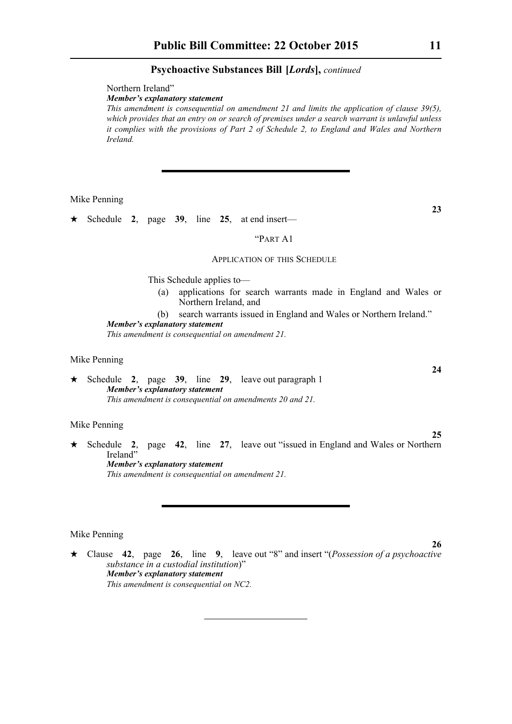Northern Ireland"

*Member's explanatory statement* 

*This amendment is consequential on amendment 21 and limits the application of clause 39(5), which provides that an entry on or search of premises under a search warrant is unlawful unless it complies with the provisions of Part 2 of Schedule 2, to England and Wales and Northern Ireland.*

Mike Penning

Schedule **2**, page **39**, line **25**, at end insert—

#### "PART A1

# APPLICATION OF THIS SCHEDULE

This Schedule applies to—

(a) applications for search warrants made in England and Wales or Northern Ireland, and

(b) search warrants issued in England and Wales or Northern Ireland." *Member's explanatory statement* 

*This amendment is consequential on amendment 21.*

# Mike Penning

 Schedule **2**, page **39**, line **29**, leave out paragraph 1 *Member's explanatory statement This amendment is consequential on amendments 20 and 21.*

#### Mike Penning

 Schedule **2**, page **42**, line **27**, leave out "issued in England and Wales or Northern Ireland" *Member's explanatory statement* 

*This amendment is consequential on amendment 21.*

#### Mike Penning

 Clause **42**, page **26**, line **9**, leave out "8" and insert "(*Possession of a psychoactive substance in a custodial institution*)" *Member's explanatory statement This amendment is consequential on NC2.*

**23**

**24**

**25**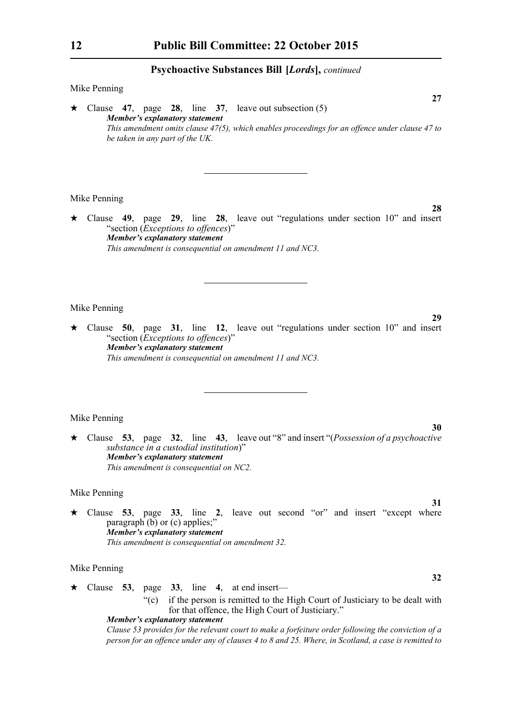#### Mike Penning

 Clause **47**, page **28**, line **37**, leave out subsection (5) *Member's explanatory statement This amendment omits clause 47(5), which enables proceedings for an offence under clause 47 to be taken in any part of the UK.* 

#### Mike Penning

 Clause **49**, page **29**, line **28**, leave out "regulations under section 10" and insert "section (*Exceptions to offences*)" *Member's explanatory statement This amendment is consequential on amendment 11 and NC3.*

#### Mike Penning

 Clause **50**, page **31**, line **12**, leave out "regulations under section 10" and insert "section (*Exceptions to offences*)" *Member's explanatory statement This amendment is consequential on amendment 11 and NC3.*

#### Mike Penning

 Clause **53**, page **32**, line **43**, leave out "8" and insert "(*Possession of a psychoactive substance in a custodial institution*)" *Member's explanatory statement This amendment is consequential on NC2.*

#### Mike Penning

 $\star$  Clause **53**, page **33**, line **2**, leave out second "or" and insert "except where paragraph  $(b)$  or  $(c)$  applies;" *Member's explanatory statement This amendment is consequential on amendment 32.*

#### Mike Penning

 $\star$  Clause 53, page 33, line 4, at end insert— "(c) if the person is remitted to the High Court of Justiciary to be dealt with for that offence, the High Court of Justiciary."

# *Member's explanatory statement*

*Clause 53 provides for the relevant court to make a forfeiture order following the conviction of a person for an offence under any of clauses 4 to 8 and 25. Where, in Scotland, a case is remitted to*

**28**

**29**

**27**

**30**

**31**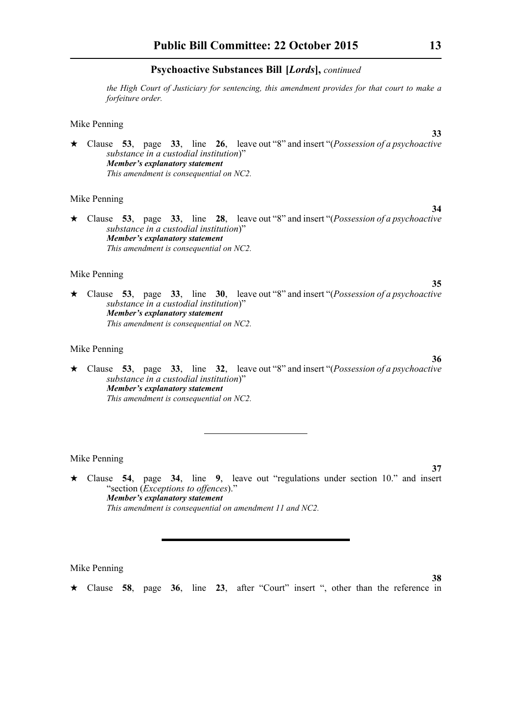*the High Court of Justiciary for sentencing, this amendment provides for that court to make a forfeiture order.*

#### Mike Penning

 Clause **53**, page **33**, line **26**, leave out "8" and insert "(*Possession of a psychoactive substance in a custodial institution*)" *Member's explanatory statement This amendment is consequential on NC2.*

#### Mike Penning

 Clause **53**, page **33**, line **28**, leave out "8" and insert "(*Possession of a psychoactive substance in a custodial institution*)" *Member's explanatory statement This amendment is consequential on NC2.*

#### Mike Penning

 Clause **53**, page **33**, line **30**, leave out "8" and insert "(*Possession of a psychoactive substance in a custodial institution*)" *Member's explanatory statement This amendment is consequential on NC2.*

#### Mike Penning

 Clause **53**, page **33**, line **32**, leave out "8" and insert "(*Possession of a psychoactive substance in a custodial institution*)" *Member's explanatory statement This amendment is consequential on NC2.*

#### Mike Penning

 Clause **54**, page **34**, line **9**, leave out "regulations under section 10." and insert "section (*Exceptions to offences*)." *Member's explanatory statement This amendment is consequential on amendment 11 and NC2.*

Mike Penning

Clause **58**, page **36**, line **23**, after "Court" insert ", other than the reference in

**33**

**34**

**35**

**36**

**37**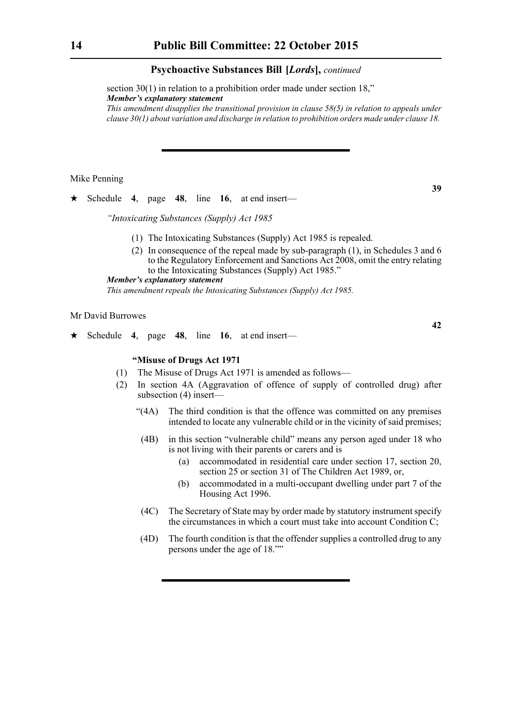section 30(1) in relation to a prohibition order made under section 18," *Member's explanatory statement* 

*This amendment disapplies the transitional provision in clause 58(5) in relation to appeals under clause 30(1) about variation and discharge in relation to prohibition orders made under clause 18.* 

#### Mike Penning

Schedule **4**, page **48**, line **16**, at end insert—

*"Intoxicating Substances (Supply) Act 1985*

- (1) The Intoxicating Substances (Supply) Act 1985 is repealed.
- (2) In consequence of the repeal made by sub-paragraph (1), in Schedules 3 and 6 to the Regulatory Enforcement and Sanctions Act 2008, omit the entry relating to the Intoxicating Substances (Supply) Act 1985."

# *Member's explanatory statement*

*This amendment repeals the Intoxicating Substances (Supply) Act 1985.*

#### Mr David Burrowes

 $\star$  Schedule 4, page 48, line 16, at end insert—

#### **"Misuse of Drugs Act 1971**

- (1) The Misuse of Drugs Act 1971 is amended as follows—
- (2) In section 4A (Aggravation of offence of supply of controlled drug) after subsection (4) insert-
	- "(4A) The third condition is that the offence was committed on any premises intended to locate any vulnerable child or in the vicinity of said premises;
	- (4B) in this section "vulnerable child" means any person aged under 18 who is not living with their parents or carers and is
		- (a) accommodated in residential care under section 17, section 20, section 25 or section 31 of The Children Act 1989, or,
		- (b) accommodated in a multi-occupant dwelling under part 7 of the Housing Act 1996.
	- (4C) The Secretary of State may by order made by statutory instrument specify the circumstances in which a court must take into account Condition C;
	- (4D) The fourth condition is that the offender supplies a controlled drug to any persons under the age of 18.""

**39**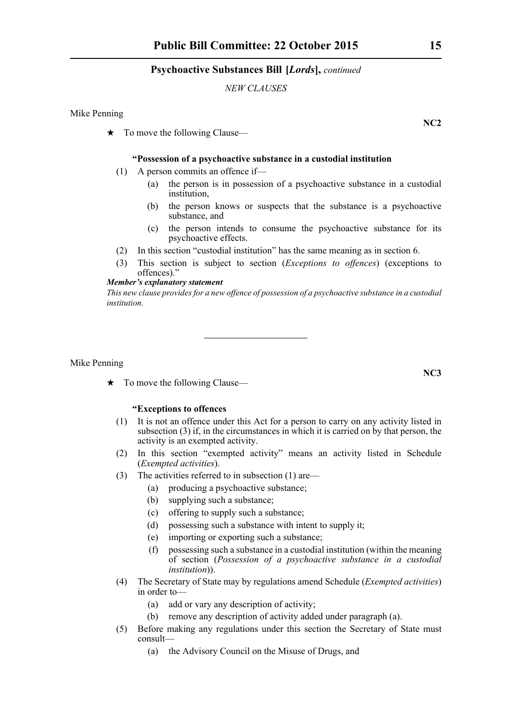# *NEW CLAUSES*

Mike Penning

 $\star$  To move the following Clause—

#### **"Possession of a psychoactive substance in a custodial institution**

- (1) A person commits an offence if—
	- (a) the person is in possession of a psychoactive substance in a custodial institution,
	- (b) the person knows or suspects that the substance is a psychoactive substance, and
	- (c) the person intends to consume the psychoactive substance for its psychoactive effects.
- (2) In this section "custodial institution" has the same meaning as in section 6.
- (3) This section is subject to section (*Exceptions to offences*) (exceptions to offences)."

#### *Member's explanatory statement*

*This new clause provides for a new offence of possession of a psychoactive substance in a custodial institution.*

Mike Penning

 $\star$  To move the following Clause—

# **"Exceptions to offences**

- (1) It is not an offence under this Act for a person to carry on any activity listed in subsection (3) if, in the circumstances in which it is carried on by that person, the activity is an exempted activity.
- (2) In this section "exempted activity" means an activity listed in Schedule (*Exempted activities*).
- (3) The activities referred to in subsection (1) are—
	- (a) producing a psychoactive substance;
	- (b) supplying such a substance;
	- (c) offering to supply such a substance;
	- (d) possessing such a substance with intent to supply it;
	- (e) importing or exporting such a substance;
	- (f) possessing such a substance in a custodial institution (within the meaning of section (*Possession of a psychoactive substance in a custodial institution*)).
- (4) The Secretary of State may by regulations amend Schedule (*Exempted activities*) in order to—
	- (a) add or vary any description of activity;
	- (b) remove any description of activity added under paragraph (a).
- (5) Before making any regulations under this section the Secretary of State must consult—
	- (a) the Advisory Council on the Misuse of Drugs, and

**NC2**

**NC3**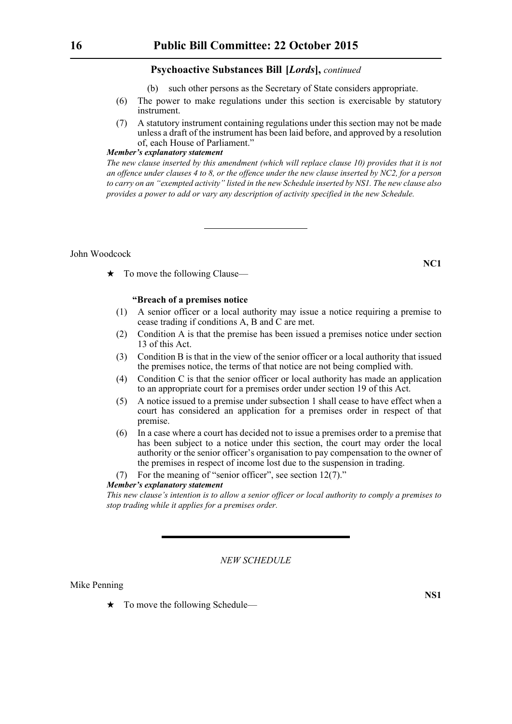- (b) such other persons as the Secretary of State considers appropriate.
- (6) The power to make regulations under this section is exercisable by statutory instrument.
- (7) A statutory instrument containing regulations under this section may not be made unless a draft of the instrument has been laid before, and approved by a resolution of, each House of Parliament."

#### *Member's explanatory statement*

*The new clause inserted by this amendment (which will replace clause 10) provides that it is not an offence under clauses 4 to 8, or the offence under the new clause inserted by NC2, for a person to carry on an "exempted activity" listed in the new Schedule inserted by NS1. The new clause also provides a power to add or vary any description of activity specified in the new Schedule.* 

John Woodcock

 $\star$  To move the following Clause—

# **"Breach of a premises notice**

- (1) A senior officer or a local authority may issue a notice requiring a premise to cease trading if conditions A, B and C are met.
- (2) Condition A is that the premise has been issued a premises notice under section 13 of this Act.
- (3) Condition B is that in the view of the senior officer or a local authority that issued the premises notice, the terms of that notice are not being complied with.
- (4) Condition C is that the senior officer or local authority has made an application to an appropriate court for a premises order under section 19 of this Act.
- (5) A notice issued to a premise under subsection 1 shall cease to have effect when a court has considered an application for a premises order in respect of that premise.
- (6) In a case where a court has decided not to issue a premises order to a premise that has been subject to a notice under this section, the court may order the local authority or the senior officer's organisation to pay compensation to the owner of the premises in respect of income lost due to the suspension in trading.
- (7) For the meaning of "senior officer", see section 12(7)."

# *Member's explanatory statement*

*This new clause's intention is to allow a senior officer or local authority to comply a premises to stop trading while it applies for a premises order.*

# *NEW SCHEDULE*

#### Mike Penning

 $\star$  To move the following Schedule—

**NS1**

**NC1**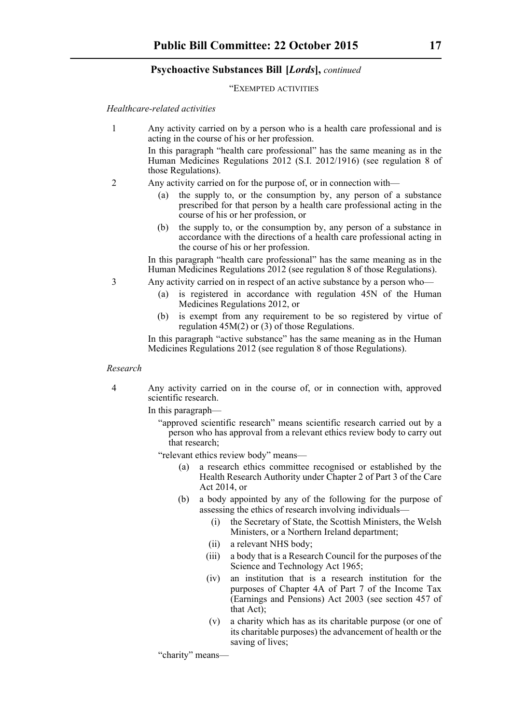#### "EXEMPTED ACTIVITIES

*Healthcare-related activities*

1 Any activity carried on by a person who is a health care professional and is acting in the course of his or her profession.

> In this paragraph "health care professional" has the same meaning as in the Human Medicines Regulations 2012 (S.I. 2012/1916) (see regulation 8 of those Regulations).

- 2 Any activity carried on for the purpose of, or in connection with
	- the supply to, or the consumption by, any person of a substance prescribed for that person by a health care professional acting in the course of his or her profession, or
	- (b) the supply to, or the consumption by, any person of a substance in accordance with the directions of a health care professional acting in the course of his or her profession.

In this paragraph "health care professional" has the same meaning as in the Human Medicines Regulations 2012 (see regulation 8 of those Regulations).

- 3 Any activity carried on in respect of an active substance by a person who—
	- (a) is registered in accordance with regulation 45N of the Human Medicines Regulations 2012, or
	- (b) is exempt from any requirement to be so registered by virtue of regulation  $45M(2)$  or  $(3)$  of those Regulations.

In this paragraph "active substance" has the same meaning as in the Human Medicines Regulations 2012 (see regulation 8 of those Regulations).

#### *Research*

4 Any activity carried on in the course of, or in connection with, approved scientific research.

In this paragraph—

"approved scientific research" means scientific research carried out by a person who has approval from a relevant ethics review body to carry out that research;

"relevant ethics review body" means—

- a research ethics committee recognised or established by the Health Research Authority under Chapter 2 of Part 3 of the Care Act 2014, or
- (b) a body appointed by any of the following for the purpose of assessing the ethics of research involving individuals—
	- (i) the Secretary of State, the Scottish Ministers, the Welsh Ministers, or a Northern Ireland department;
	- (ii) a relevant NHS body;
	- (iii) a body that is a Research Council for the purposes of the Science and Technology Act 1965;
	- (iv) an institution that is a research institution for the purposes of Chapter 4A of Part 7 of the Income Tax (Earnings and Pensions) Act 2003 (see section 457 of that Act);
	- (v) a charity which has as its charitable purpose (or one of its charitable purposes) the advancement of health or the saving of lives;

"charity" means—